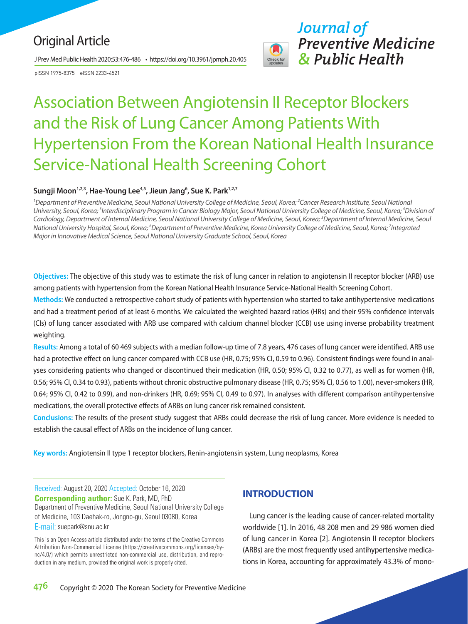# Original Article

J Prev Med Public Health 2020;53:476-486 • https://doi.org/10.3961/jpmph.20.405

pISSN 1975-8375 eISSN 2233-4521



*Journal of Preventive Medicine & Public Health*

# Association Between Angiotensin II Receptor Blockers and the Risk of Lung Cancer Among Patients With Hypertension From the Korean National Health Insurance Service-National Health Screening Cohort

## Sungji Moon<sup>1,2,3</sup>, Hae-Young Lee<sup>4,5</sup>, Jieun Jang<sup>6</sup>, Sue K. Park<sup>1,2,7</sup>

*1 Department of Preventive Medicine, Seoul National University College of Medicine, Seoul, Korea; 2 Cancer Research Institute, Seoul National*  University, Seoul, Korea; <sup>3</sup>Interdisciplinary Program in Cancer Biology Major, Seoul National University College of Medicine, Seoul, Korea; <sup>4</sup>Division of *Cardiology, Department of Internal Medicine, Seoul National University College of Medicine, Seoul, Korea; 5 Department of Internal Medicine, Seoul*  National University Hospital, Seoul, Korea; <sup>6</sup>Department of Preventive Medicine, Korea University College of Medicine, Seoul, Korea; <sup>7</sup>Integrated *Major in Innovative Medical Science, Seoul National University Graduate School, Seoul, Korea*

**Objectives:** The objective of this study was to estimate the risk of lung cancer in relation to angiotensin II receptor blocker (ARB) use among patients with hypertension from the Korean National Health Insurance Service-National Health Screening Cohort.

**Methods:** We conducted a retrospective cohort study of patients with hypertension who started to take antihypertensive medications and had a treatment period of at least 6 months. We calculated the weighted hazard ratios (HRs) and their 95% confidence intervals (CIs) of lung cancer associated with ARB use compared with calcium channel blocker (CCB) use using inverse probability treatment weighting.

**Results:** Among a total of 60 469 subjects with a median follow-up time of 7.8 years, 476 cases of lung cancer were identified. ARB use had a protective effect on lung cancer compared with CCB use (HR, 0.75; 95% CI, 0.59 to 0.96). Consistent findings were found in analyses considering patients who changed or discontinued their medication (HR, 0.50; 95% CI, 0.32 to 0.77), as well as for women (HR, 0.56; 95% CI, 0.34 to 0.93), patients without chronic obstructive pulmonary disease (HR, 0.75; 95% CI, 0.56 to 1.00), never-smokers (HR, 0.64; 95% CI, 0.42 to 0.99), and non-drinkers (HR, 0.69; 95% CI, 0.49 to 0.97). In analyses with different comparison antihypertensive medications, the overall protective effects of ARBs on lung cancer risk remained consistent.

**Conclusions:** The results of the present study suggest that ARBs could decrease the risk of lung cancer. More evidence is needed to establish the causal effect of ARBs on the incidence of lung cancer.

**Key words:** Angiotensin II type 1 receptor blockers, Renin-angiotensin system, Lung neoplasms, Korea

Received: August 20, 2020 Accepted: October 16, 2020 **Corresponding author:** Sue K. Park, MD, PhD Department of Preventive Medicine, Seoul National University College of Medicine, 103 Daehak-ro, Jongno-gu, Seoul 03080, Korea E-mail: suepark@snu.ac.kr

This is an Open Access article distributed under the terms of the Creative Commons Attribution Non-Commercial License (https://creativecommons.org/licenses/bync/4.0/) which permits unrestricted non-commercial use, distribution, and reproduction in any medium, provided the original work is properly cited.

# **INTRODUCTION**

Lung cancer is the leading cause of cancer-related mortality worldwide [1]. In 2016, 48 208 men and 29 986 women died of lung cancer in Korea [2]. Angiotensin II receptor blockers (ARBs) are the most frequently used antihypertensive medications in Korea, accounting for approximately 43.3% of mono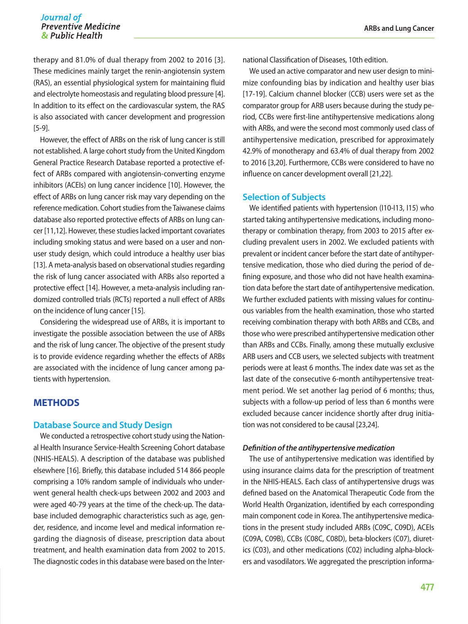therapy and 81.0% of dual therapy from 2002 to 2016 [3]. These medicines mainly target the renin-angiotensin system (RAS), an essential physiological system for maintaining fluid and electrolyte homeostasis and regulating blood pressure [4]. In addition to its effect on the cardiovascular system, the RAS is also associated with cancer development and progression [5-9].

However, the effect of ARBs on the risk of lung cancer is still not established. A large cohort study from the United Kingdom General Practice Research Database reported a protective effect of ARBs compared with angiotensin-converting enzyme inhibitors (ACEIs) on lung cancer incidence [10]. However, the effect of ARBs on lung cancer risk may vary depending on the reference medication. Cohort studies from the Taiwanese claims database also reported protective effects of ARBs on lung cancer [11,12]. However, these studies lacked important covariates including smoking status and were based on a user and nonuser study design, which could introduce a healthy user bias [13]. A meta-analysis based on observational studies regarding the risk of lung cancer associated with ARBs also reported a protective effect [14]. However, a meta-analysis including randomized controlled trials (RCTs) reported a null effect of ARBs on the incidence of lung cancer [15].

Considering the widespread use of ARBs, it is important to investigate the possible association between the use of ARBs and the risk of lung cancer. The objective of the present study is to provide evidence regarding whether the effects of ARBs are associated with the incidence of lung cancer among patients with hypertension.

# **METHODS**

#### **Database Source and Study Design**

We conducted a retrospective cohort study using the National Health Insurance Service-Health Screening Cohort database (NHIS-HEALS). A description of the database was published elsewhere [16]. Briefly, this database included 514 866 people comprising a 10% random sample of individuals who underwent general health check-ups between 2002 and 2003 and were aged 40-79 years at the time of the check-up. The database included demographic characteristics such as age, gender, residence, and income level and medical information regarding the diagnosis of disease, prescription data about treatment, and health examination data from 2002 to 2015. The diagnostic codes in this database were based on the International Classification of Diseases, 10th edition.

We used an active comparator and new user design to minimize confounding bias by indication and healthy user bias [17-19]. Calcium channel blocker (CCB) users were set as the comparator group for ARB users because during the study period, CCBs were first-line antihypertensive medications along with ARBs, and were the second most commonly used class of antihypertensive medication, prescribed for approximately 42.9% of monotherapy and 63.4% of dual therapy from 2002 to 2016 [3,20]. Furthermore, CCBs were considered to have no influence on cancer development overall [21,22].

#### **Selection of Subjects**

We identified patients with hypertension (I10-I13, I15) who started taking antihypertensive medications, including monotherapy or combination therapy, from 2003 to 2015 after excluding prevalent users in 2002. We excluded patients with prevalent or incident cancer before the start date of antihypertensive medication, those who died during the period of defining exposure, and those who did not have health examination data before the start date of antihypertensive medication. We further excluded patients with missing values for continuous variables from the health examination, those who started receiving combination therapy with both ARBs and CCBs, and those who were prescribed antihypertensive medication other than ARBs and CCBs. Finally, among these mutually exclusive ARB users and CCB users, we selected subjects with treatment periods were at least 6 months. The index date was set as the last date of the consecutive 6-month antihypertensive treatment period. We set another lag period of 6 months; thus, subjects with a follow-up period of less than 6 months were excluded because cancer incidence shortly after drug initiation was not considered to be causal [23,24].

#### *Definition of the antihypertensive medication*

The use of antihypertensive medication was identified by using insurance claims data for the prescription of treatment in the NHIS-HEALS. Each class of antihypertensive drugs was defined based on the Anatomical Therapeutic Code from the World Health Organization, identified by each corresponding main component code in Korea. The antihypertensive medications in the present study included ARBs (C09C, C09D), ACEIs (C09A, C09B), CCBs (C08C, C08D), beta-blockers (C07), diuretics (C03), and other medications (C02) including alpha-blockers and vasodilators. We aggregated the prescription informa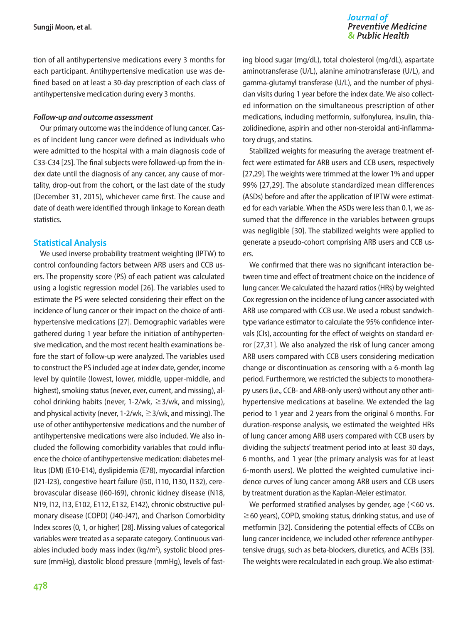tion of all antihypertensive medications every 3 months for each participant. Antihypertensive medication use was defined based on at least a 30-day prescription of each class of antihypertensive medication during every 3 months.

#### *Follow-up and outcome assessment*

Our primary outcome was the incidence of lung cancer. Cases of incident lung cancer were defined as individuals who were admitted to the hospital with a main diagnosis code of C33-C34 [25]. The final subjects were followed-up from the index date until the diagnosis of any cancer, any cause of mortality, drop-out from the cohort, or the last date of the study (December 31, 2015), whichever came first. The cause and date of death were identified through linkage to Korean death statistics.

#### **Statistical Analysis**

We used inverse probability treatment weighting (IPTW) to control confounding factors between ARB users and CCB users. The propensity score (PS) of each patient was calculated using a logistic regression model [26]. The variables used to estimate the PS were selected considering their effect on the incidence of lung cancer or their impact on the choice of antihypertensive medications [27]. Demographic variables were gathered during 1 year before the initiation of antihypertensive medication, and the most recent health examinations before the start of follow-up were analyzed. The variables used to construct the PS included age at index date, gender, income level by quintile (lowest, lower, middle, upper-middle, and highest), smoking status (never, ever, current, and missing), alcohol drinking habits (never,  $1-2/wk$ , ≥3/wk, and missing), and physical activity (never, 1-2/wk,  $\geq 3$ /wk, and missing). The use of other antihypertensive medications and the number of antihypertensive medications were also included. We also included the following comorbidity variables that could influence the choice of antihypertensive medication: diabetes mellitus (DM) (E10-E14), dyslipidemia (E78), myocardial infarction (I21-I23), congestive heart failure (I50, I110, I130, I132), cerebrovascular disease (I60-I69), chronic kidney disease (N18, N19, I12, I13, E102, E112, E132, E142), chronic obstructive pulmonary disease (COPD) (J40-J47), and Charlson Comorbidity Index scores (0, 1, or higher) [28]. Missing values of categorical variables were treated as a separate category. Continuous variables included body mass index (kg/m<sup>2</sup>), systolic blood pressure (mmHg), diastolic blood pressure (mmHg), levels of fast-

ing blood sugar (mg/dL), total cholesterol (mg/dL), aspartate aminotransferase (U/L), alanine aminotransferase (U/L), and gamma-glutamyl transferase (U/L), and the number of physician visits during 1 year before the index date. We also collected information on the simultaneous prescription of other medications, including metformin, sulfonylurea, insulin, thiazolidinedione, aspirin and other non-steroidal anti-inflammatory drugs, and statins.

Stabilized weights for measuring the average treatment effect were estimated for ARB users and CCB users, respectively [27,29]. The weights were trimmed at the lower 1% and upper 99% [27,29]. The absolute standardized mean differences (ASDs) before and after the application of IPTW were estimated for each variable. When the ASDs were less than 0.1, we assumed that the difference in the variables between groups was negligible [30]. The stabilized weights were applied to generate a pseudo-cohort comprising ARB users and CCB users.

We confirmed that there was no significant interaction between time and effect of treatment choice on the incidence of lung cancer. We calculated the hazard ratios (HRs) by weighted Cox regression on the incidence of lung cancer associated with ARB use compared with CCB use. We used a robust sandwichtype variance estimator to calculate the 95% confidence intervals (CIs), accounting for the effect of weights on standard error [27,31]. We also analyzed the risk of lung cancer among ARB users compared with CCB users considering medication change or discontinuation as censoring with a 6-month lag period. Furthermore, we restricted the subjects to monotherapy users (i.e., CCB- and ARB-only users) without any other antihypertensive medications at baseline. We extended the lag period to 1 year and 2 years from the original 6 months. For duration-response analysis, we estimated the weighted HRs of lung cancer among ARB users compared with CCB users by dividing the subjects' treatment period into at least 30 days, 6 months, and 1 year (the primary analysis was for at least 6-month users). We plotted the weighted cumulative incidence curves of lung cancer among ARB users and CCB users by treatment duration as the Kaplan-Meier estimator.

We performed stratified analyses by gender, age  $(<$  60 vs. ≥60 years), COPD, smoking status, drinking status, and use of metformin [32]. Considering the potential effects of CCBs on lung cancer incidence, we included other reference antihypertensive drugs, such as beta-blockers, diuretics, and ACEIs [33]. The weights were recalculated in each group. We also estimat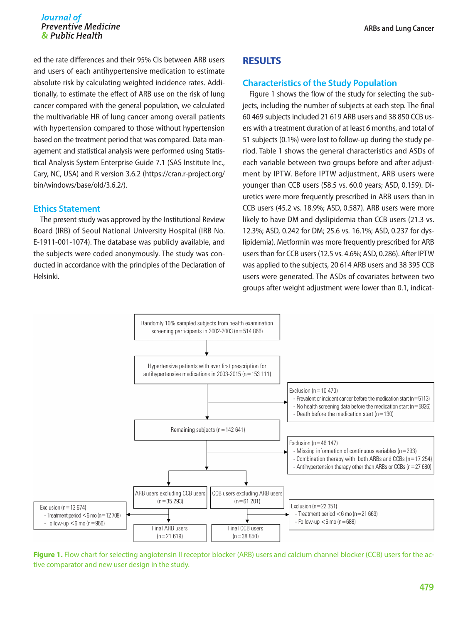ed the rate differences and their 95% CIs between ARB users and users of each antihypertensive medication to estimate absolute risk by calculating weighted incidence rates. Additionally, to estimate the effect of ARB use on the risk of lung cancer compared with the general population, we calculated the multivariable HR of lung cancer among overall patients with hypertension compared to those without hypertension based on the treatment period that was compared. Data management and statistical analysis were performed using Statistical Analysis System Enterprise Guide 7.1 (SAS Institute Inc., Cary, NC, USA) and R version 3.6.2 ([https://cran.r-project.org/](https://cran.r-project.org/bin/windows/base/old/3.6.2/) [bin/windows/base/old/3.6.2/](https://cran.r-project.org/bin/windows/base/old/3.6.2/)).

#### **Ethics Statement**

The present study was approved by the Institutional Review Board (IRB) of Seoul National University Hospital (IRB No. E-1911-001-1074). The database was publicly available, and the subjects were coded anonymously. The study was conducted in accordance with the principles of the Declaration of Helsinki.

## **RESULTS**

#### **Characteristics of the Study Population**

Figure 1 shows the flow of the study for selecting the subjects, including the number of subjects at each step. The final 60 469 subjects included 21 619 ARB users and 38 850 CCB users with a treatment duration of at least 6 months, and total of 51 subjects (0.1%) were lost to follow-up during the study period. Table 1 shows the general characteristics and ASDs of each variable between two groups before and after adjustment by IPTW. Before IPTW adjustment, ARB users were younger than CCB users (58.5 vs. 60.0 years; ASD, 0.159). Diuretics were more frequently prescribed in ARB users than in CCB users (45.2 vs. 18.9%; ASD, 0.587). ARB users were more likely to have DM and dyslipidemia than CCB users (21.3 vs. 12.3%; ASD, 0.242 for DM; 25.6 vs. 16.1%; ASD, 0.237 for dyslipidemia). Metformin was more frequently prescribed for ARB users than for CCB users (12.5 vs. 4.6%; ASD, 0.286). After IPTW was applied to the subjects, 20 614 ARB users and 38 395 CCB users were generated. The ASDs of covariates between two groups after weight adjustment were lower than 0.1, indicat-



**Figure 1.** Flow chart for selecting angiotensin II receptor blocker (ARB) users and calcium channel blocker (CCB) users for the active comparator and new user design in the study.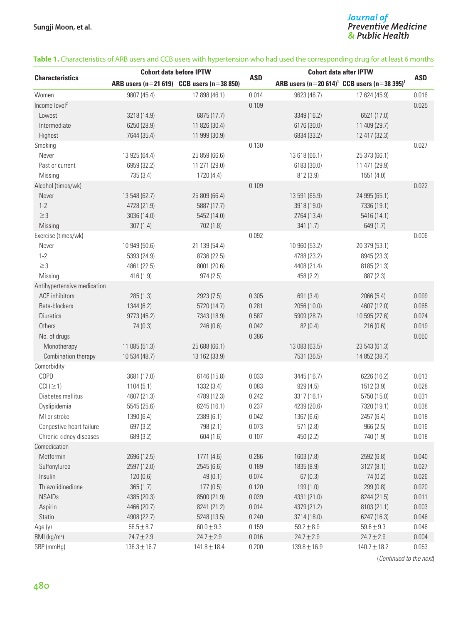# J<mark>ournal of</mark><br>Preventive Medicine<br>& Public Health

#### **Table 1.** Characteristics of ARB users and CCB users with hypertension who had used the corresponding drug for at least 6 months

| <b>Characteristics</b>      | <b>Cohort data before IPTW</b> |                                               |            | <b>Cohort data after IPTW</b> |                                                   |            |
|-----------------------------|--------------------------------|-----------------------------------------------|------------|-------------------------------|---------------------------------------------------|------------|
|                             |                                | ARB users $(n=21 619)$ CCB users $(n=38 850)$ | <b>ASD</b> |                               | ARB users $(n=20 614)^1$ CCB users $(n=38 395)^1$ | <b>ASD</b> |
| Women                       | 9807 (45.4)                    | 17 898 (46.1)                                 | 0.014      | 9623 (46.7)                   | 17 624 (45.9)                                     | 0.016      |
| Income $level2$             |                                |                                               | 0.109      |                               |                                                   | 0.025      |
| Lowest                      | 3218 (14.9)                    | 6875 (17.7)                                   |            | 3349 (16.2)                   | 6521 (17.0)                                       |            |
| Intermediate                | 6250 (28.9)                    | 11 826 (30.4)                                 |            | 6176 (30.0)                   | 11 409 (29.7)                                     |            |
| Highest                     | 7644 (35.4)                    | 11 999 (30.9)                                 |            | 6834 (33.2)                   | 12 417 (32.3)                                     |            |
| Smoking                     |                                |                                               | 0.130      |                               |                                                   | 0.027      |
| Never                       | 13 925 (64.4)                  | 25 859 (66.6)                                 |            | 13 618 (66.1)                 | 25 373 (66.1)                                     |            |
| Past or current             | 6959 (32.2)                    | 11 271 (29.0)                                 |            | 6183 (30.0)                   | 11 471 (29.9)                                     |            |
| Missing                     | 735 (3.4)                      | 1720 (4.4)                                    |            | 812 (3.9)                     | 1551(4.0)                                         |            |
| Alcohol (times/wk)          |                                |                                               | 0.109      |                               |                                                   | 0.022      |
| Never                       | 13 548 (62.7)                  | 25 809 (66.4)                                 |            | 13 591 (65.9)                 | 24 995 (65.1)                                     |            |
| $1 - 2$                     | 4728 (21.9)                    | 5887 (17.7)                                   |            | 3918 (19.0)                   | 7336 (19.1)                                       |            |
| $\geq$ 3                    | 3036 (14.0)                    | 5452 (14.0)                                   |            | 2764 (13.4)                   | 5416 (14.1)                                       |            |
| Missing                     | 307(1.4)                       | 702 (1.8)                                     |            | 341(1.7)                      | 649 (1.7)                                         |            |
| Exercise (times/wk)         |                                |                                               | 0.092      |                               |                                                   | 0.006      |
| Never                       | 10 949 (50.6)                  | 21 139 (54.4)                                 |            | 10 960 (53.2)                 | 20 379 (53.1)                                     |            |
| $1 - 2$                     | 5393 (24.9)                    | 8736 (22.5)                                   |            | 4788 (23.2)                   | 8945 (23.3)                                       |            |
| $\geq$ 3                    | 4861 (22.5)                    | 8001 (20.6)                                   |            | 4408 (21.4)                   | 8185 (21.3)                                       |            |
| Missing                     | 416 (1.9)                      | 974(2.5)                                      |            | 458 (2.2)                     | 887 (2.3)                                         |            |
| Antihypertensive medication |                                |                                               |            |                               |                                                   |            |
| ACE inhibitors              | 285(1.3)                       | 2923 (7.5)                                    | 0.305      | 691 (3.4)                     | 2066 (5.4)                                        | 0.099      |
| Beta-blockers               | 1344 (6.2)                     | 5720 (14.7)                                   | 0.281      | 2056 (10.0)                   | 4607 (12.0)                                       | 0.065      |
| <b>Diuretics</b>            | 9773 (45.2)                    | 7343 (18.9)                                   | 0.587      | 5909 (28.7)                   | 10 595 (27.6)                                     | 0.024      |
| Others                      | 74(0.3)                        | 246 (0.6)                                     | 0.042      | 82(0.4)                       | 216(0.6)                                          | 0.019      |
| No. of drugs                |                                |                                               | 0.386      |                               |                                                   | 0.050      |
| Monotherapy                 | 11 085 (51.3)                  | 25 688 (66.1)                                 |            | 13 083 (63.5)                 | 23 543 (61.3)                                     |            |
| Combination therapy         | 10 534 (48.7)                  | 13 162 (33.9)                                 |            | 7531 (36.5)                   | 14 852 (38.7)                                     |            |
| Comorbidity                 |                                |                                               |            |                               |                                                   |            |
| COPD                        | 3681 (17.0)                    | 6146 (15.8)                                   | 0.033      | 3445 (16.7)                   | 6226 (16.2)                                       | 0.013      |
| $ CCI  \geq 1$              | 1104(5.1)                      | 1332 (3.4)                                    | 0.083      | 929(4.5)                      | 1512 (3.9)                                        | 0.028      |
| Diabetes mellitus           | 4607 (21.3)                    | 4789 (12.3)                                   | 0.242      | 3317 (16.1)                   | 5750 (15.0)                                       | 0.031      |
| Dyslipidemia                | 5545 (25.6)                    | 6245 (16.1)                                   | 0.237      | 4239 (20.6)                   | 7320 (19.1)                                       | 0.038      |
| MI or stroke                | 1390 (6.4)                     | 2389 (6.1)                                    | 0.042      | 1367 (6.6)                    | 2457 (6.4)                                        | 0.018      |
| Congestive heart failure    | 697 (3.2)                      | 798 (2.1)                                     | 0.073      | 571 (2.8)                     | 966 (2.5)                                         | 0.016      |
| Chronic kidney diseases     | 689 (3.2)                      | 604(1.6)                                      | 0.107      | 450 (2.2)                     | 740 (1.9)                                         | 0.018      |
| Comedication                |                                |                                               |            |                               |                                                   |            |
| Metformin                   | 2696 (12.5)                    | 1771 (4.6)                                    | 0.286      | 1603 (7.8)                    | 2592 (6.8)                                        | 0.040      |
| Sulfonylurea                | 2597 (12.0)                    | 2545 (6.6)                                    | 0.189      | 1835 (8.9)                    | 3127 (8.1)                                        | 0.027      |
| Insulin                     | 120(0.6)                       | 49(0.1)                                       | 0.074      | 67(0.3)                       | 74(0.2)                                           | 0.026      |
| Thiazolidinedione           | 365(1.7)                       | 177(0.5)                                      | 0.120      | 199(1.0)                      | 299 (0.8)                                         | 0.020      |
| <b>NSAIDs</b>               | 4385 (20.3)                    | 8500 (21.9)                                   | 0.039      | 4331 (21.0)                   | 8244 (21.5)                                       | 0.011      |
| Aspirin                     | 4466 (20.7)                    | 8241 (21.2)                                   | 0.014      | 4379 (21.2)                   | 8103 (21.1)                                       | 0.003      |
| Statin                      | 4908 (22.7)                    | 5248 (13.5)                                   | 0.240      | 3714 (18.0)                   | 6247 (16.3)                                       | 0.046      |
| Age (y)                     | $58.5 \pm 8.7$                 | $60.0 \pm 9.3$                                | 0.159      | $59.2 \pm 8.9$                | $59.6 \pm 9.3$                                    | 0.046      |
| $BMl$ (kg/m <sup>2</sup> )  | $24.7 \pm 2.9$                 | $24.7 \pm 2.9$                                | 0.016      | $24.7 \pm 2.9$                | $24.7 \pm 2.9$                                    | 0.004      |
| SBP (mmHg)                  | $138.3 \pm 16.7$               | $141.8 \pm 18.4$                              | 0.200      | $139.8 \pm 16.9$              | $140.7 \pm 18.2$                                  | 0.053      |

(*Continued to the next*)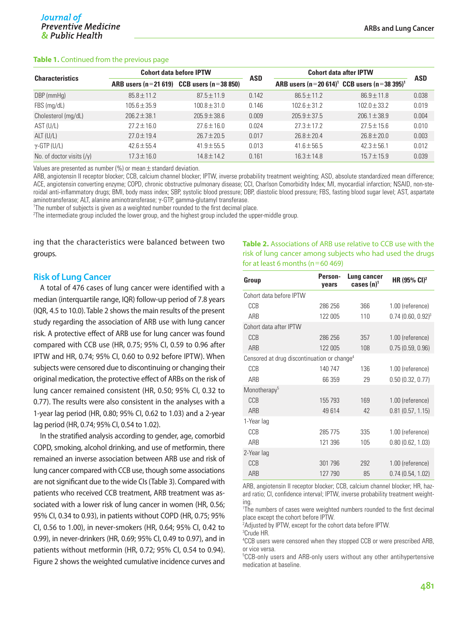#### **Table 1.** Continued from the previous page

|                            | <b>Cohort data before IPTW</b> |                                               |            | <b>Cohort data after IPTW</b>                     |                  |            |
|----------------------------|--------------------------------|-----------------------------------------------|------------|---------------------------------------------------|------------------|------------|
| <b>Characteristics</b>     |                                | ARB users $(n=21 619)$ CCB users $(n=38 850)$ | <b>ASD</b> | ARB users $(n=20 614)^1$ CCB users $(n=38 395)^1$ |                  | <b>ASD</b> |
| DBP (mmHg)                 | $85.8 \pm 11.2$                | $87.5 \pm 11.9$                               | 0.142      | $86.5 \pm 11.2$                                   | $86.9 \pm 11.8$  | 0.038      |
| FBS (mg/dL)                | $105.6 \pm 35.9$               | $100.8 \pm 31.0$                              | 0.146      | $102.6 \pm 31.2$                                  | $102.0 \pm 33.2$ | 0.019      |
| Cholesterol (mg/dL)        | $206.2 \pm 38.1$               | $205.9 \pm 38.6$                              | 0.009      | $205.9 \pm 37.5$                                  | $206.1 \pm 38.9$ | 0.004      |
| AST (U/L)                  | $27.2 \pm 16.0$                | $27.6 \pm 16.0$                               | 0.024      | $27.3 \pm 17.2$                                   | $27.5 \pm 15.6$  | 0.010      |
| $ALT$ (U/L)                | $27.0 \pm 19.4$                | $26.7 \pm 20.5$                               | 0.017      | $26.8 \pm 20.4$                                   | $26.8 \pm 20.0$  | 0.003      |
| $\gamma$ -GTP (U/L)        | $42.6 \pm 55.4$                | $41.9 \pm 55.5$                               | 0.013      | $41.6 \pm 56.5$                                   | $42.3 \pm 56.1$  | 0.012      |
| No. of doctor visits $(y)$ | $17.3 \pm 16.0$                | $14.8 \pm 14.2$                               | 0.161      | $16.3 \pm 14.8$                                   | $15.7 \pm 15.9$  | 0.039      |

Values are presented as number (%) or mean  $\pm$  standard deviation.

ARB, angiotensin II receptor blocker; CCB, calcium channel blocker; IPTW, inverse probability treatment weighting; ASD, absolute standardized mean difference; ACE, angiotensin converting enzyme; COPD, chronic obstructive pulmonary disease; CCI, Charlson Comorbidity Index; MI, myocardial infarction; NSAID, non-steroidal anti-inflammatory drugs; BMI, body mass index; SBP, systolic blood pressure; DBP, diastolic blood pressure; FBS, fasting blood sugar level; AST, aspartate aminotransferase; ALT, alanine aminotransferase; <sup>γ</sup>-GTP, gamma-glutamyl transferase. 1

<sup>1</sup>The number of subjects is given as a weighted number rounded to the first decimal place.

2 The intermediate group included the lower group, and the highest group included the upper-middle group.

ing that the characteristics were balanced between two groups.

#### **Risk of Lung Cancer**

A total of 476 cases of lung cancer were identified with a median (interquartile range, IQR) follow-up period of 7.8 years (IQR, 4.5 to 10.0). Table 2 shows the main results of the present study regarding the association of ARB use with lung cancer risk. A protective effect of ARB use for lung cancer was found compared with CCB use (HR, 0.75; 95% CI, 0.59 to 0.96 after IPTW and HR, 0.74; 95% CI, 0.60 to 0.92 before IPTW). When subjects were censored due to discontinuing or changing their original medication, the protective effect of ARBs on the risk of lung cancer remained consistent (HR, 0.50; 95% CI, 0.32 to 0.77). The results were also consistent in the analyses with a 1-year lag period (HR, 0.80; 95% CI, 0.62 to 1.03) and a 2-year lag period (HR, 0.74; 95% CI, 0.54 to 1.02).

In the stratified analysis according to gender, age, comorbid COPD, smoking, alcohol drinking, and use of metformin, there remained an inverse association between ARB use and risk of lung cancer compared with CCB use, though some associations are not significant due to the wide CIs (Table 3). Compared with patients who received CCB treatment, ARB treatment was associated with a lower risk of lung cancer in women (HR, 0.56; 95% CI, 0.34 to 0.93), in patients without COPD (HR, 0.75; 95% CI, 0.56 to 1.00), in never-smokers (HR, 0.64; 95% CI, 0.42 to 0.99), in never-drinkers (HR, 0.69; 95% CI, 0.49 to 0.97), and in patients without metformin (HR, 0.72; 95% CI, 0.54 to 0.94). Figure 2 shows the weighted cumulative incidence curves and

**Table 2.** Associations of ARB use relative to CCB use with the risk of lung cancer among subjects who had used the drugs for at least 6 months ( $n=60 469$ )

| Group                                                   | Person-<br>vears | Lung cancer<br>cases $(n)^1$ | HR $(95\% \text{ Cl})^2$ |
|---------------------------------------------------------|------------------|------------------------------|--------------------------|
| Cohort data before IPTW                                 |                  |                              |                          |
| CCB                                                     | 286 256          | 366                          | 1.00 (reference)         |
| ARB                                                     | 122 005          | 110                          | $0.74(0.60, 0.92)^3$     |
| Cohort data after IPTW                                  |                  |                              |                          |
| CCB                                                     | 286 256          | 357                          | 1.00 (reference)         |
| ARB                                                     | 122 005          | 108                          | 0.75(0.59, 0.96)         |
| Censored at drug discontinuation or change <sup>4</sup> |                  |                              |                          |
| CCB                                                     | 140 747          | 136                          | 1.00 (reference)         |
| ARB                                                     | 66 359           | 29                           | 0.50(0.32, 0.77)         |
| Monotherapy <sup>5</sup>                                |                  |                              |                          |
| CCB                                                     | 155 793          | 169                          | 1.00 (reference)         |
| ARB                                                     | 49 614           | 42                           | 0.81(0.57, 1.15)         |
| 1-Year lag                                              |                  |                              |                          |
| CCB                                                     | 285 775          | 335                          | 1.00 (reference)         |
| ARR                                                     | 121 396          | 105                          | 0.80(0.62, 1.03)         |
| 2-Year lag                                              |                  |                              |                          |
| CCB                                                     | 301 796          | 292                          | 1.00 (reference)         |
| ARB                                                     | 127 790          | 85                           | 0.74(0.54, 1.02)         |

ARB, angiotensin II receptor blocker; CCB, calcium channel blocker; HR, hazard ratio; CI, confidence interval; IPTW, inverse probability treatment weighting.

1 The numbers of cases were weighted numbers rounded to the first decimal place except the cohort before IPTW.

<sup>2</sup>Adjusted by IPTW, except for the cohort data before IPTW.

3 Crude HR. 4 CCB users were censored when they stopped CCB or were prescribed ARB, or vice versa.

5 CCB-only users and ARB-only users without any other antihypertensive medication at baseline.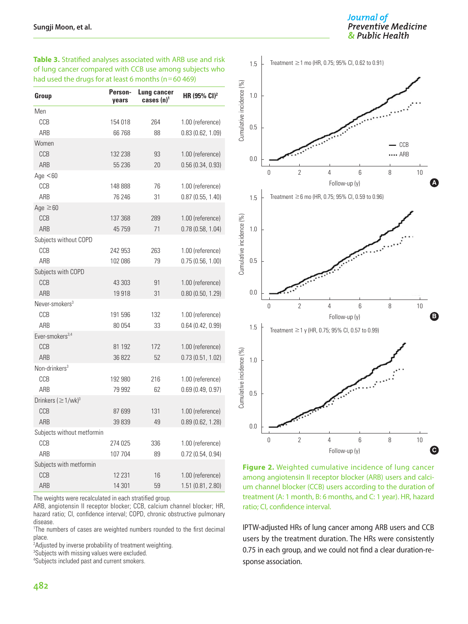**Table 3.** Stratified analyses associated with ARB use and risk of lung cancer compared with CCB use among subjects who had used the drugs for at least 6 months ( $n=60 469$ )

| Group                                | Person-<br>years | Lung cancer<br>cases $(n)^1$ | HR (95% CI) <sup>2</sup> |
|--------------------------------------|------------------|------------------------------|--------------------------|
| Men                                  |                  |                              |                          |
| CCB                                  | 154 018          | 264                          | 1.00 (reference)         |
| ARB                                  | 66 768           | 88                           | 0.83(0.62, 1.09)         |
| Women                                |                  |                              |                          |
| CCB                                  | 132 238          | 93                           | 1.00 (reference)         |
| ARB                                  | 55 236           | 20                           | 0.56(0.34, 0.93)         |
| Age $< 60$                           |                  |                              |                          |
| CCB                                  | 148 888          | 76                           | 1.00 (reference)         |
| ARB                                  | 76 246           | 31                           | 0.87(0.55, 1.40)         |
| Age $\geq 60$                        |                  |                              |                          |
| CCB                                  | 137 368          | 289                          | 1.00 (reference)         |
| ARB                                  | 45 7 59          | 71                           | 0.78(0.58, 1.04)         |
| Subjects without COPD                |                  |                              |                          |
| CCB                                  | 242 953          | 263                          | 1.00 (reference)         |
| <b>ARR</b>                           | 102 086          | 79                           | 0.75(0.56, 1.00)         |
| Subjects with COPD                   |                  |                              |                          |
| CCB                                  | 43 303           | 91                           | 1.00 (reference)         |
| ARB                                  | 19918            | 31                           | 0.80(0.50, 1.29)         |
| Never-smokers $^3$                   |                  |                              |                          |
| CCB                                  | 191 596          | 132                          | 1.00 (reference)         |
| ARB                                  | 80 054           | 33                           | 0.64(0.42, 0.99)         |
| Ever-smokers <sup>3,4</sup>          |                  |                              |                          |
| CCB                                  | 81 192           | 172                          | 1.00 (reference)         |
| ARB                                  | 36 822           | 52                           | 0.73(0.51, 1.02)         |
| Non-drinkers <sup>3</sup>            |                  |                              |                          |
| CCB                                  | 192 980          | 216                          | 1.00 (reference)         |
| ARB                                  | 79 992           | 62                           | 0.69(0.49, 0.97)         |
| Drinkers ( $\geq$ 1/wk) <sup>3</sup> |                  |                              |                          |
| CCB                                  | 87 699           | 131                          | 1.00 (reference)         |
| ARB                                  | 39 839           | 49                           | 0.89(0.62, 1.28)         |
| Subjects without metformin           |                  |                              |                          |
| CCB                                  | 274 025          | 336                          | 1.00 (reference)         |
| <b>ARR</b>                           | 107 704          | 89                           | 0.72(0.54, 0.94)         |
| Subjects with metformin              |                  |                              |                          |
| CCB                                  | 12 2 31          | 16                           | 1.00 (reference)         |
| ARB                                  | 14 301           | 59                           | 1.51 (0.81, 2.80)        |

The weights were recalculated in each stratified group.

ARB, angiotensin II receptor blocker; CCB, calcium channel blocker; HR, hazard ratio; CI, confidence interval; COPD, chronic obstructive pulmonary disease.

<sup>1</sup>The numbers of cases are weighted numbers rounded to the first decimal place.

<sup>2</sup>Adjusted by inverse probability of treatment weighting.

<sup>3</sup>Subjects with missing values were excluded.

4 Subjects included past and current smokers.



**Figure 2.** Weighted cumulative incidence of lung cancer among angiotensin II receptor blocker (ARB) users and calcium channel blocker (CCB) users according to the duration of treatment (A: 1 month, B: 6 months, and C: 1 year). HR, hazard ratio; CI, confidence interval.

IPTW-adjusted HRs of lung cancer among ARB users and CCB users by the treatment duration. The HRs were consistently 0.75 in each group, and we could not find a clear duration-response association.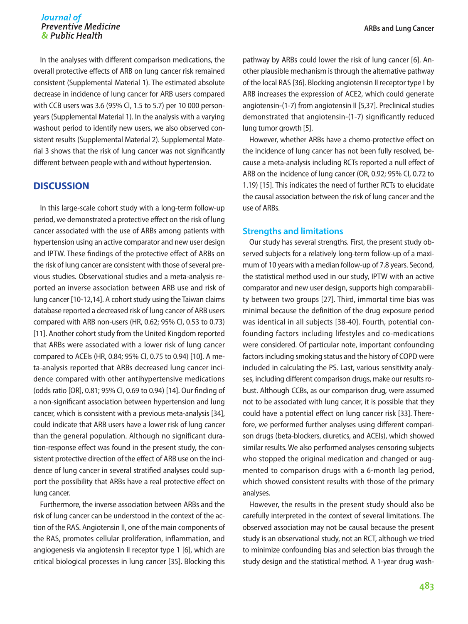In the analyses with different comparison medications, the overall protective effects of ARB on lung cancer risk remained consistent (Supplemental Material 1). The estimated absolute decrease in incidence of lung cancer for ARB users compared with CCB users was 3.6 (95% CI, 1.5 to 5.7) per 10 000 personyears (Supplemental Material 1). In the analysis with a varying washout period to identify new users, we also observed consistent results (Supplemental Material 2). Supplemental Material 3 shows that the risk of lung cancer was not significantly different between people with and without hypertension.

### **DISCUSSION**

In this large-scale cohort study with a long-term follow-up period, we demonstrated a protective effect on the risk of lung cancer associated with the use of ARBs among patients with hypertension using an active comparator and new user design and IPTW. These findings of the protective effect of ARBs on the risk of lung cancer are consistent with those of several previous studies. Observational studies and a meta-analysis reported an inverse association between ARB use and risk of lung cancer [10-12,14]. A cohort study using the Taiwan claims database reported a decreased risk of lung cancer of ARB users compared with ARB non-users (HR, 0.62; 95% CI, 0.53 to 0.73) [11]. Another cohort study from the United Kingdom reported that ARBs were associated with a lower risk of lung cancer compared to ACEIs (HR, 0.84; 95% CI, 0.75 to 0.94) [10]. A meta-analysis reported that ARBs decreased lung cancer incidence compared with other antihypertensive medications (odds ratio [OR], 0.81; 95% CI, 0.69 to 0.94) [14]. Our finding of a non-significant association between hypertension and lung cancer, which is consistent with a previous meta-analysis [34], could indicate that ARB users have a lower risk of lung cancer than the general population. Although no significant duration-response effect was found in the present study, the consistent protective direction of the effect of ARB use on the incidence of lung cancer in several stratified analyses could support the possibility that ARBs have a real protective effect on lung cancer.

Furthermore, the inverse association between ARBs and the risk of lung cancer can be understood in the context of the action of the RAS. Angiotensin II, one of the main components of the RAS, promotes cellular proliferation, inflammation, and angiogenesis via angiotensin II receptor type 1 [6], which are critical biological processes in lung cancer [35]. Blocking this

pathway by ARBs could lower the risk of lung cancer [6]. Another plausible mechanism is through the alternative pathway of the local RAS [36]. Blocking angiotensin II receptor type I by ARB increases the expression of ACE2, which could generate angiotensin‐(1-7) from angiotensin II [5,37]. Preclinical studies demonstrated that angiotensin‐(1-7) significantly reduced lung tumor growth [5].

However, whether ARBs have a chemo-protective effect on the incidence of lung cancer has not been fully resolved, because a meta-analysis including RCTs reported a null effect of ARB on the incidence of lung cancer (OR, 0.92; 95% CI, 0.72 to 1.19) [15]. This indicates the need of further RCTs to elucidate the causal association between the risk of lung cancer and the use of ARBs.

#### **Strengths and limitations**

Our study has several strengths. First, the present study observed subjects for a relatively long-term follow-up of a maximum of 10 years with a median follow-up of 7.8 years. Second, the statistical method used in our study, IPTW with an active comparator and new user design, supports high comparability between two groups [27]. Third, immortal time bias was minimal because the definition of the drug exposure period was identical in all subjects [38-40]. Fourth, potential confounding factors including lifestyles and co-medications were considered. Of particular note, important confounding factors including smoking status and the history of COPD were included in calculating the PS. Last, various sensitivity analyses, including different comparison drugs, make our results robust. Although CCBs, as our comparison drug, were assumed not to be associated with lung cancer, it is possible that they could have a potential effect on lung cancer risk [33]. Therefore, we performed further analyses using different comparison drugs (beta-blockers, diuretics, and ACEIs), which showed similar results. We also performed analyses censoring subjects who stopped the original medication and changed or augmented to comparison drugs with a 6-month lag period, which showed consistent results with those of the primary analyses.

However, the results in the present study should also be carefully interpreted in the context of several limitations. The observed association may not be causal because the present study is an observational study, not an RCT, although we tried to minimize confounding bias and selection bias through the study design and the statistical method. A 1-year drug wash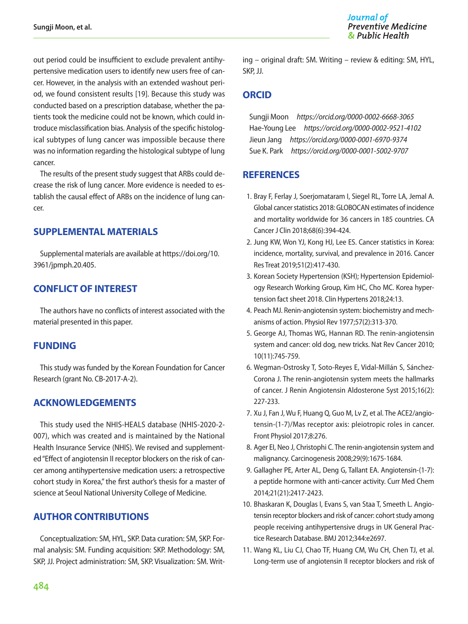out period could be insufficient to exclude prevalent antihypertensive medication users to identify new users free of cancer. However, in the analysis with an extended washout period, we found consistent results [19]. Because this study was conducted based on a prescription database, whether the patients took the medicine could not be known, which could introduce misclassification bias. Analysis of the specific histological subtypes of lung cancer was impossible because there was no information regarding the histological subtype of lung cancer.

The results of the present study suggest that ARBs could decrease the risk of lung cancer. More evidence is needed to establish the causal effect of ARBs on the incidence of lung cancer.

# **SUPPLEMENTAL MATERIALS**

Supplemental materials are available at [https://doi.org/10.](https://doi.org/10.3961/jpmph.20.405)  [3961/jpmph.20.405.](https://doi.org/10.3961/jpmph.20.405)

# **CONFLICT OF INTEREST**

The authors have no conflicts of interest associated with the material presented in this paper.

# **FUNDING**

This study was funded by the Korean Foundation for Cancer Research (grant No. CB-2017-A-2).

# **ACKNOWLEDGEMENTS**

This study used the NHIS-HEALS database (NHIS-2020-2- 007), which was created and is maintained by the National Health Insurance Service (NHIS). We revised and supplemented "Effect of angiotensin II receptor blockers on the risk of cancer among antihypertensive medication users: a retrospective cohort study in Korea," the first author's thesis for a master of science at Seoul National University College of Medicine.

# **AUTHOR CONTRIBUTIONS**

Conceptualization: SM, HYL, SKP. Data curation: SM, SKP. Formal analysis: SM. Funding acquisition: SKP. Methodology: SM, SKP, JJ. Project administration: SM, SKP. Visualization: SM. Writing – original draft: SM. Writing – review & editing: SM, HYL, SKP, JJ.

# **ORCID**

Sungji Moon *[https://orcid.org/0000-0002-6668-3065](https://orcid.org/0000-0002-6668-3065
)* Hae-Young Lee *[https://orcid.org/0000-0002-9521-4102](https://orcid.org/0000-0002-9521-4102
)* Jieun Jang *[https://orcid.org/0000-0001-6970-9374](https://orcid.org/0000-0001-6970-9374
)* Sue K. Park *[https://orcid.org/0000-0001-5002-9707](https://orcid.org/0000-0001-5002-9707
)*

# **REFERENCES**

- 1. Bray F, Ferlay J, Soerjomataram I, Siegel RL, Torre LA, Jemal A. Global cancer statistics 2018: GLOBOCAN estimates of incidence and mortality worldwide for 36 cancers in 185 countries. CA Cancer J Clin 2018;68(6):394-424.
- 2. Jung KW, Won YJ, Kong HJ, Lee ES. Cancer statistics in Korea: incidence, mortality, survival, and prevalence in 2016. Cancer Res Treat 2019;51(2):417-430.
- 3. Korean Society Hypertension (KSH); Hypertension Epidemiology Research Working Group, Kim HC, Cho MC. Korea hypertension fact sheet 2018. Clin Hypertens 2018;24:13.
- 4. Peach MJ. Renin-angiotensin system: biochemistry and mechanisms of action. Physiol Rev 1977;57(2):313-370.
- 5. George AJ, Thomas WG, Hannan RD. The renin-angiotensin system and cancer: old dog, new tricks. Nat Rev Cancer 2010; 10(11):745-759.
- 6. Wegman-Ostrosky T, Soto-Reyes E, Vidal-Millán S, Sánchez-Corona J. The renin-angiotensin system meets the hallmarks of cancer. J Renin Angiotensin Aldosterone Syst 2015;16(2): 227-233.
- 7. Xu J, Fan J, Wu F, Huang Q, Guo M, Lv Z, et al. The ACE2/angiotensin-(1-7)/Mas receptor axis: pleiotropic roles in cancer. Front Physiol 2017;8:276.
- 8. Ager EI, Neo J, Christophi C. The renin-angiotensin system and malignancy. Carcinogenesis 2008;29(9):1675-1684.
- 9. Gallagher PE, Arter AL, Deng G, Tallant EA. Angiotensin-(1-7): a peptide hormone with anti-cancer activity. Curr Med Chem 2014;21(21):2417-2423.
- 10. Bhaskaran K, Douglas I, Evans S, van Staa T, Smeeth L. Angiotensin receptor blockers and risk of cancer: cohort study among people receiving antihypertensive drugs in UK General Practice Research Database. BMJ 2012;344:e2697.
- 11. Wang KL, Liu CJ, Chao TF, Huang CM, Wu CH, Chen TJ, et al. Long-term use of angiotensin II receptor blockers and risk of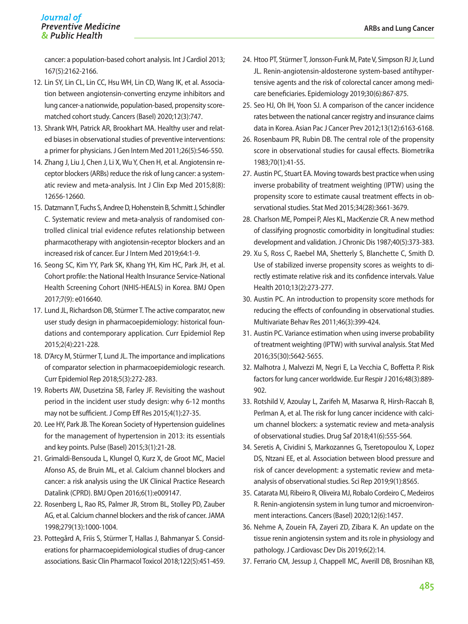#### Journal of **Preventive Medicine** & Public Health

cancer: a population-based cohort analysis. Int J Cardiol 2013; 167(5):2162-2166.

- 12. Lin SY, Lin CL, Lin CC, Hsu WH, Lin CD, Wang IK, et al. Association between angiotensin-converting enzyme inhibitors and lung cancer-a nationwide, population-based, propensity scorematched cohort study. Cancers (Basel) 2020;12(3):747.
- 13. Shrank WH, Patrick AR, Brookhart MA. Healthy user and related biases in observational studies of preventive interventions: a primer for physicians. J Gen Intern Med 2011;26(5):546-550.
- 14. Zhang J, Liu J, Chen J, Li X, Wu Y, Chen H, et al. Angiotensin receptor blockers (ARBs) reduce the risk of lung cancer: a systematic review and meta-analysis. Int J Clin Exp Med 2015;8(8): 12656-12660.
- 15. Datzmann T, Fuchs S, Andree D, Hohenstein B, Schmitt J, Schindler C. Systematic review and meta-analysis of randomised controlled clinical trial evidence refutes relationship between pharmacotherapy with angiotensin-receptor blockers and an increased risk of cancer. Eur J Intern Med 2019;64:1-9.
- 16. Seong SC, Kim YY, Park SK, Khang YH, Kim HC, Park JH, et al. Cohort profile: the National Health Insurance Service-National Health Screening Cohort (NHIS-HEALS) in Korea. BMJ Open 2017;7(9): e016640.
- 17. Lund JL, Richardson DB, Stürmer T. The active comparator, new user study design in pharmacoepidemiology: historical foundations and contemporary application. Curr Epidemiol Rep 2015;2(4):221-228.
- 18. D'Arcy M, Stürmer T, Lund JL. The importance and implications of comparator selection in pharmacoepidemiologic research. Curr Epidemiol Rep 2018;5(3):272-283.
- 19. Roberts AW, Dusetzina SB, Farley JF. Revisiting the washout period in the incident user study design: why 6-12 months may not be sufficient. J Comp Eff Res 2015;4(1):27-35.
- 20. Lee HY, Park JB. The Korean Society of Hypertension guidelines for the management of hypertension in 2013: its essentials and key points. Pulse (Basel) 2015;3(1):21-28.
- 21. Grimaldi-Bensouda L, Klungel O, Kurz X, de Groot MC, Maciel Afonso AS, de Bruin ML, et al. Calcium channel blockers and cancer: a risk analysis using the UK Clinical Practice Research Datalink (CPRD). BMJ Open 2016;6(1):e009147.
- 22. Rosenberg L, Rao RS, Palmer JR, Strom BL, Stolley PD, Zauber AG, et al. Calcium channel blockers and the risk of cancer. JAMA 1998;279(13):1000-1004.
- 23. Pottegård A, Friis S, Stürmer T, Hallas J, Bahmanyar S. Considerations for pharmacoepidemiological studies of drug-cancer associations. Basic Clin Pharmacol Toxicol 2018;122(5):451-459.
- 24. Htoo PT, Stürmer T, Jonsson-Funk M, Pate V, Simpson RJ Jr, Lund JL. Renin-angiotensin-aldosterone system-based antihypertensive agents and the risk of colorectal cancer among medicare beneficiaries. Epidemiology 2019;30(6):867-875.
- 25. Seo HJ, Oh IH, Yoon SJ. A comparison of the cancer incidence rates between the national cancer registry and insurance claims data in Korea. Asian Pac J Cancer Prev 2012;13(12):6163-6168.
- 26. Rosenbaum PR, Rubin DB. The central role of the propensity score in observational studies for causal effects. Biometrika 1983;70(1):41-55.
- 27. Austin PC, Stuart EA. Moving towards best practice when using inverse probability of treatment weighting (IPTW) using the propensity score to estimate causal treatment effects in observational studies. Stat Med 2015;34(28):3661-3679.
- 28. Charlson ME, Pompei P, Ales KL, MacKenzie CR. A new method of classifying prognostic comorbidity in longitudinal studies: development and validation. J Chronic Dis 1987;40(5):373-383.
- 29. Xu S, Ross C, Raebel MA, Shetterly S, Blanchette C, Smith D. Use of stabilized inverse propensity scores as weights to directly estimate relative risk and its confidence intervals. Value Health 2010;13(2):273-277.
- 30. Austin PC. An introduction to propensity score methods for reducing the effects of confounding in observational studies. Multivariate Behav Res 2011;46(3):399-424.
- 31. Austin PC. Variance estimation when using inverse probability of treatment weighting (IPTW) with survival analysis. Stat Med 2016;35(30):5642-5655.
- 32. Malhotra J, Malvezzi M, Negri E, La Vecchia C, Boffetta P. Risk factors for lung cancer worldwide. Eur Respir J 2016;48(3):889- 902.
- 33. Rotshild V, Azoulay L, Zarifeh M, Masarwa R, Hirsh-Raccah B, Perlman A, et al. The risk for lung cancer incidence with calcium channel blockers: a systematic review and meta-analysis of observational studies. Drug Saf 2018;41(6):555-564.
- 34. Seretis A, Cividini S, Markozannes G, Tseretopoulou X, Lopez DS, Ntzani EE, et al. Association between blood pressure and risk of cancer development: a systematic review and metaanalysis of observational studies. Sci Rep 2019;9(1):8565.
- 35. Catarata MJ, Ribeiro R, Oliveira MJ, Robalo Cordeiro C, Medeiros R. Renin-angiotensin system in lung tumor and microenvironment interactions. Cancers (Basel) 2020;12(6):1457.
- 36. Nehme A, Zouein FA, Zayeri ZD, Zibara K. An update on the tissue renin angiotensin system and its role in physiology and pathology. J Cardiovasc Dev Dis 2019;6(2):14.
- 37. Ferrario CM, Jessup J, Chappell MC, Averill DB, Brosnihan KB,